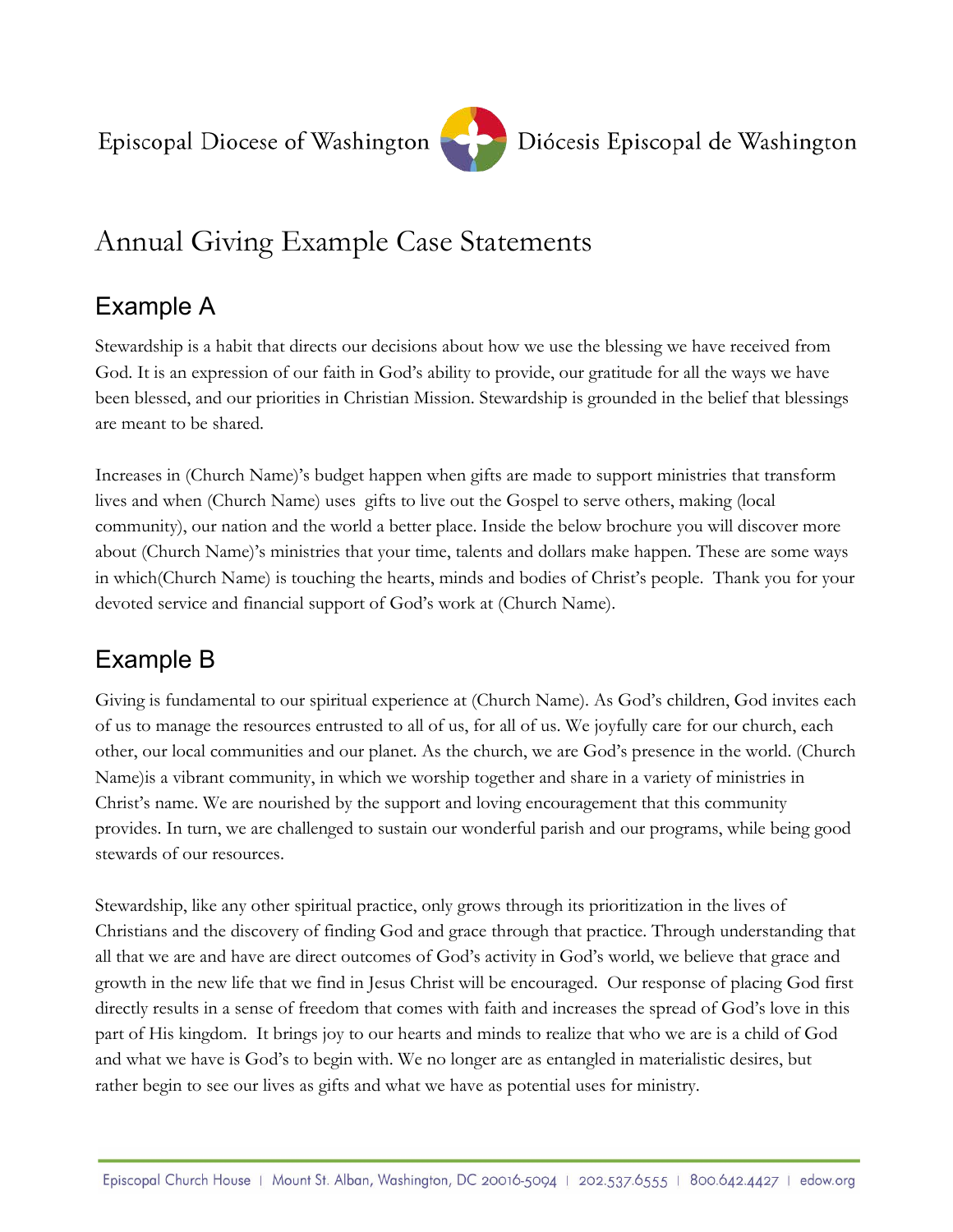

# Annual Giving Example Case Statements

### Example A

Stewardship is a habit that directs our decisions about how we use the blessing we have received from God. It is an expression of our faith in God's ability to provide, our gratitude for all the ways we have been blessed, and our priorities in Christian Mission. Stewardship is grounded in the belief that blessings are meant to be shared.

Increases in (Church Name)'s budget happen when gifts are made to support ministries that transform lives and when (Church Name) uses gifts to live out the Gospel to serve others, making (local community), our nation and the world a better place. Inside the below brochure you will discover more about (Church Name)'s ministries that your time, talents and dollars make happen. These are some ways in which(Church Name) is touching the hearts, minds and bodies of Christ's people. Thank you for your devoted service and financial support of God's work at (Church Name).

# Example B

Giving is fundamental to our spiritual experience at (Church Name). As God's children, God invites each of us to manage the resources entrusted to all of us, for all of us. We joyfully care for our church, each other, our local communities and our planet. As the church, we are God's presence in the world. (Church Name)is a vibrant community, in which we worship together and share in a variety of ministries in Christ's name. We are nourished by the support and loving encouragement that this community provides. In turn, we are challenged to sustain our wonderful parish and our programs, while being good stewards of our resources.

Stewardship, like any other spiritual practice, only grows through its prioritization in the lives of Christians and the discovery of finding God and grace through that practice. Through understanding that all that we are and have are direct outcomes of God's activity in God's world, we believe that grace and growth in the new life that we find in Jesus Christ will be encouraged. Our response of placing God first directly results in a sense of freedom that comes with faith and increases the spread of God's love in this part of His kingdom. It brings joy to our hearts and minds to realize that who we are is a child of God and what we have is God's to begin with. We no longer are as entangled in materialistic desires, but rather begin to see our lives as gifts and what we have as potential uses for ministry.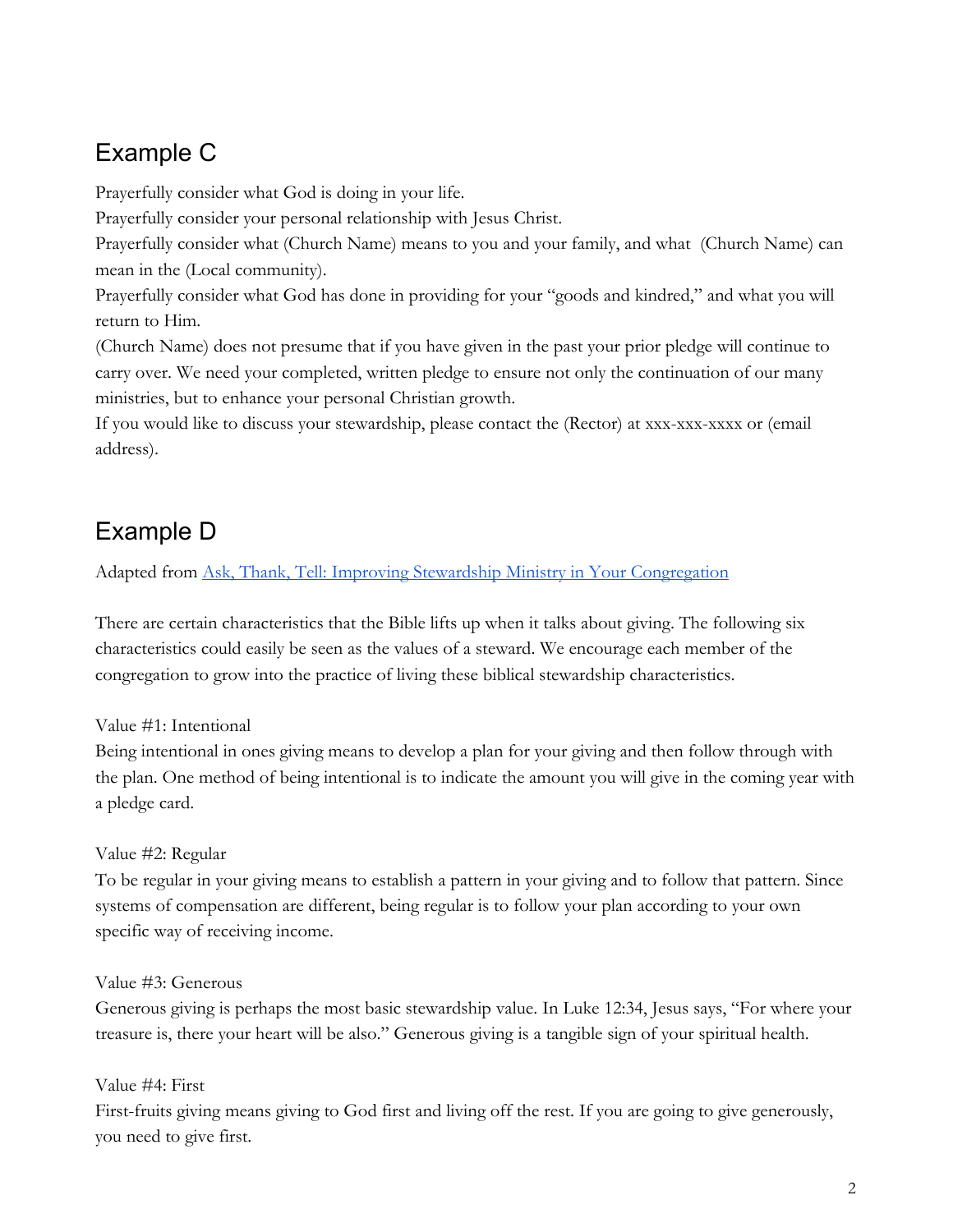### Example C

Prayerfully consider what God is doing in your life.

Prayerfully consider your personal relationship with Jesus Christ.

Prayerfully consider what (Church Name) means to you and your family, and what (Church Name) can mean in the (Local community).

Prayerfully consider what God has done in providing for your "goods and kindred," and what you will return to Him.

(Church Name) does not presume that if you have given in the past your prior pledge will continue to carry over. We need your completed, written pledge to ensure not only the continuation of our many ministries, but to enhance your personal Christian growth.

If you would like to discuss your stewardship, please contact the (Rector) at xxx-xxx-xxxx or (email address).

# Example D

Adapted from Ask, Thank, Tell: Improving Stewardship Ministry in Your [Congregation](https://www.amazon.com/Ask-Thank-Tell-Stewardship-Congregation/dp/0806652632)

There are certain characteristics that the Bible lifts up when it talks about giving. The following six characteristics could easily be seen as the values of a steward. We encourage each member of the congregation to grow into the practice of living these biblical stewardship characteristics.

Value #1: Intentional

Being intentional in ones giving means to develop a plan for your giving and then follow through with the plan. One method of being intentional is to indicate the amount you will give in the coming year with a pledge card.

Value #2: Regular

To be regular in your giving means to establish a pattern in your giving and to follow that pattern. Since systems of compensation are different, being regular is to follow your plan according to your own specific way of receiving income.

Value #3: Generous

Generous giving is perhaps the most basic stewardship value. In Luke 12:34, Jesus says, "For where your treasure is, there your heart will be also." Generous giving is a tangible sign of your spiritual health.

Value #4: First

First-fruits giving means giving to God first and living off the rest. If you are going to give generously, you need to give first.